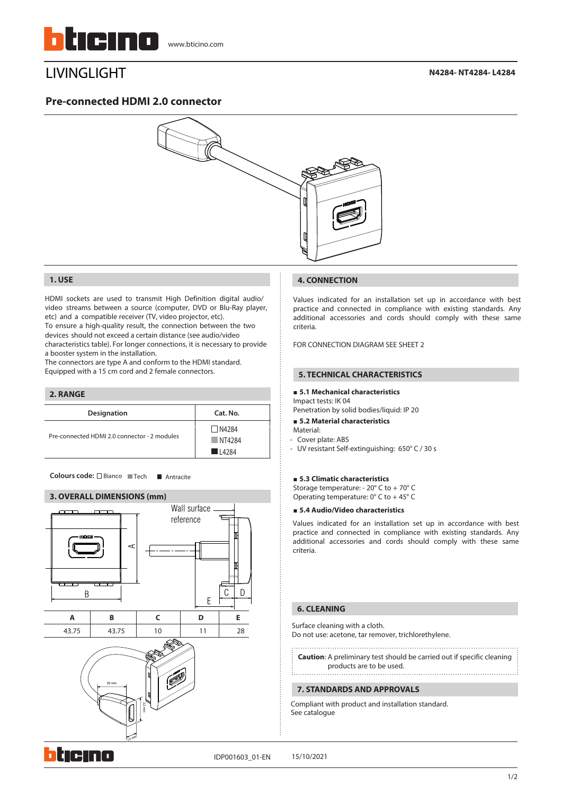

# LIVINGLIGHT

**N4284- NT4284- L4284**

## **Pre-connected HDMI 2.0 connector**



#### **1. USE**

HDMI sockets are used to transmit High Definition digital audio/ video streams between a source (computer, DVD or Blu-Ray player, etc) and a compatible receiver (TV, video projector, etc). To ensure a high-quality result, the connection between the two devices should not exceed a certain distance (see audio/video characteristics table). For longer connections, it is necessary to provide

a booster system in the installation. The connectors are type A and conform to the HDMI standard.

Equipped with a 15 cm cord and 2 female connectors.

# **Designation Cat. No. 2. RANGE**  $\Box$ N4284 NT4284 L4284 Pre-connected HDMI 2.0 connector - 2 modules

Colours code: □ Bianco ■ Tech ■ Antracite

#### **3. OVERALL DIMENSIONS (mm)**



#### **4. CONNECTION**

Values indicated for an installation set up in accordance with best practice and connected in compliance with existing standards. Any additional accessories and cords should comply with these same criteria.

FOR CONNECTION DIAGRAM SEE SHEET 2

#### **5. TECHNICAL CHARACTERISTICS**

#### **5.1 Mechanical characteristics**

Impact tests: IK 04 Penetration by solid bodies/liquid: IP 20

#### **5.2 Material characteristics**

- Material:
- Cover plate: ABS
- UV resistant Self-extinguishing: 650° C / 30 s

#### **5.3 Climatic characteristics**

Storage temperature: - 20° C to + 70° C Operating temperature:  $0^{\circ}$  C to +45 $^{\circ}$  C

### **5.4 Audio/Video characteristics**

Values indicated for an installation set up in accordance with best practice and connected in compliance with existing standards. Any additional accessories and cords should comply with these same criteria.

#### **6. CLEANING**

Surface cleaning with a cloth. Do not use: acetone, tar remover, trichlorethylene.

**Caution**: A preliminary test should be carried out if specific cleaning

# products are to be used.

### **7. STANDARDS AND APPROVALS**

Compliant with product and installation standard. See catalogue